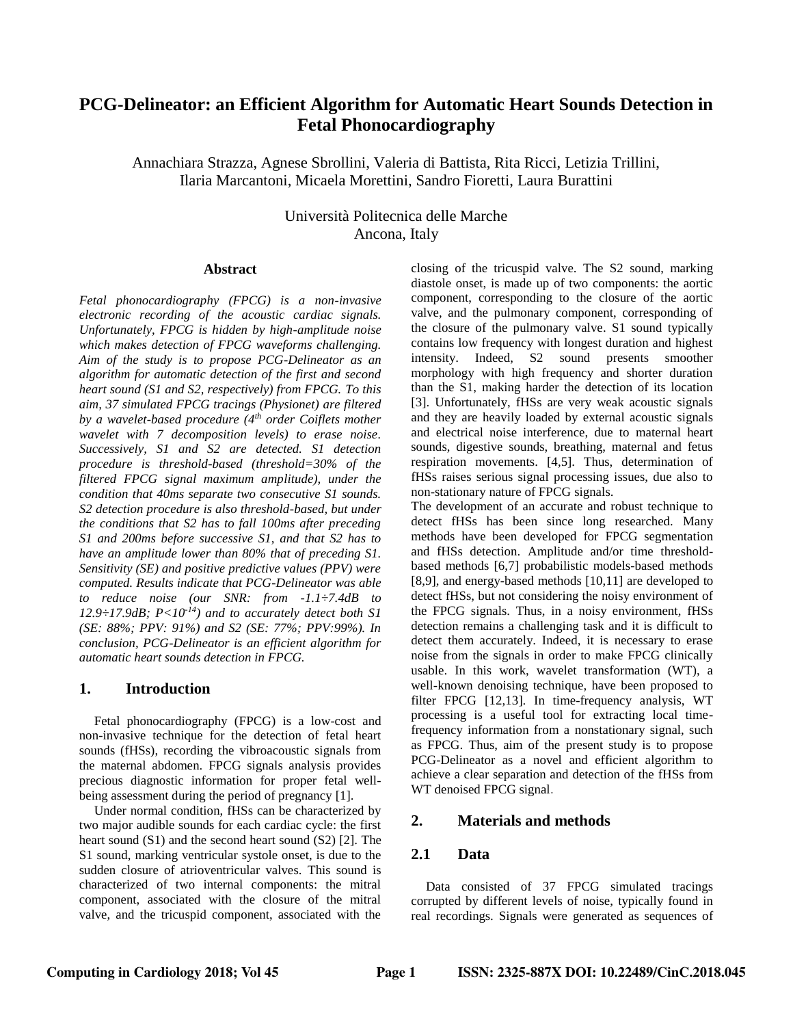# **PCG-Delineator: an Efficient Algorithm for Automatic Heart Sounds Detection in Fetal Phonocardiography**

Annachiara Strazza, Agnese Sbrollini, Valeria di Battista, Rita Ricci, Letizia Trillini, Ilaria Marcantoni, Micaela Morettini, Sandro Fioretti, Laura Burattini

> Università Politecnica delle Marche Ancona, Italy

### **Abstract**

*Fetal phonocardiography (FPCG) is a non-invasive electronic recording of the acoustic cardiac signals. Unfortunately, FPCG is hidden by high-amplitude noise which makes detection of FPCG waveforms challenging. Aim of the study is to propose PCG-Delineator as an algorithm for automatic detection of the first and second heart sound (S1 and S2, respectively) from FPCG. To this aim, 37 simulated FPCG tracings (Physionet) are filtered by a wavelet-based procedure (4th order Coiflets mother wavelet with 7 decomposition levels) to erase noise. Successively, S1 and S2 are detected. S1 detection procedure is threshold-based (threshold=30% of the filtered FPCG signal maximum amplitude), under the condition that 40ms separate two consecutive S1 sounds. S2 detection procedure is also threshold-based, but under the conditions that S2 has to fall 100ms after preceding S1 and 200ms before successive S1, and that S2 has to have an amplitude lower than 80% that of preceding S1. Sensitivity (SE) and positive predictive values (PPV) were computed. Results indicate that PCG-Delineator was able to reduce noise (our SNR: from -1.1÷7.4dB to 12.9÷17.9dB; P<10-14) and to accurately detect both S1 (SE: 88%; PPV: 91%) and S2 (SE: 77%; PPV:99%). In conclusion, PCG-Delineator is an efficient algorithm for automatic heart sounds detection in FPCG.*

### **1. Introduction**

Fetal phonocardiography (FPCG) is a low-cost and non-invasive technique for the detection of fetal heart sounds (fHSs), recording the vibroacoustic signals from the maternal abdomen. FPCG signals analysis provides precious diagnostic information for proper fetal wellbeing assessment during the period of pregnancy [1].

Under normal condition, fHSs can be characterized by two major audible sounds for each cardiac cycle: the first heart sound (S1) and the second heart sound (S2) [2]. The S1 sound, marking ventricular systole onset, is due to the sudden closure of atrioventricular valves. This sound is characterized of two internal components: the mitral component, associated with the closure of the mitral valve, and the tricuspid component, associated with the

closing of the tricuspid valve. The S2 sound, marking diastole onset, is made up of two components: the aortic component, corresponding to the closure of the aortic valve, and the pulmonary component, corresponding of the closure of the pulmonary valve. S1 sound typically contains low frequency with longest duration and highest intensity. Indeed, S2 sound presents smoother morphology with high frequency and shorter duration than the S1, making harder the detection of its location [3]. Unfortunately, fHSs are very weak acoustic signals and they are heavily loaded by external acoustic signals and electrical noise interference, due to maternal heart sounds, digestive sounds, breathing, maternal and fetus respiration movements. [\[4](https://www.frontiersin.org/articles/10.3389/fbioe.2017.00049/full#B32)[,5\]](https://www.frontiersin.org/articles/10.3389/fbioe.2017.00049/full#B2). Thus, determination of fHSs raises serious signal processing issues, due also to non-stationary nature of FPCG signals.

The development of an accurate and robust technique to detect fHSs has been since long researched. Many methods have been developed for FPCG segmentation and fHSs detection. Amplitude and/or time thresholdbased methods [6,7] probabilistic models-based methods [8,9], and energy-based methods [10,11] are developed to detect fHSs, but not considering the noisy environment of the FPCG signals. Thus, in a noisy environment, fHSs detection remains a challenging task and it is difficult to detect them accurately. Indeed, it is necessary to erase noise from the signals in order to make FPCG clinically usable. In this work, wavelet transformation (WT), a well-known denoising technique, have been proposed to filter FPCG [12,13]. In time-frequency analysis, WT processing is a useful tool for extracting local timefrequency information from a nonstationary signal, such as FPCG. Thus, aim of the present study is to propose PCG-Delineator as a novel and efficient algorithm to achieve a clear separation and detection of the fHSs from WT denoised FPCG signal.

## **2. Materials and methods**

# **2.1 Data**

Data consisted of 37 FPCG simulated tracings corrupted by different levels of noise, typically found in real recordings. Signals were generated as sequences of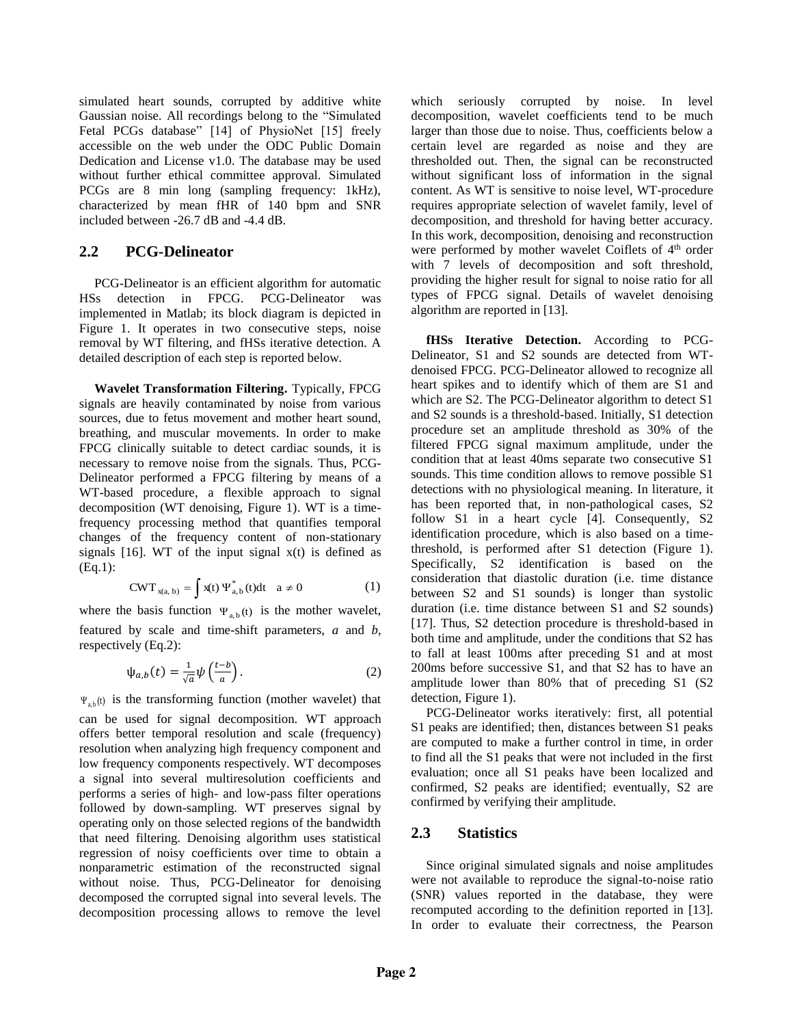simulated heart sounds, corrupted by additive white Gaussian noise. All recordings belong to the "Simulated Fetal PCGs database" [14] of PhysioNet [15] freely accessible on the web under the ODC Public Domain Dedication and License v1.0. The database may be used without further ethical committee approval. Simulated PCGs are 8 min long (sampling frequency: 1kHz), characterized by mean fHR of 140 bpm and SNR included between -26.7 dB and -4.4 dB.

## **2.2 PCG-Delineator**

PCG-Delineator is an efficient algorithm for automatic HSs detection in FPCG. PCG-Delineator was implemented in Matlab; its block diagram is depicted in Figure 1. It operates in two consecutive steps, noise removal by WT filtering, and fHSs iterative detection. A detailed description of each step is reported below.

**Wavelet Transformation Filtering.** Typically, FPCG signals are heavily contaminated by noise from various sources, due to fetus movement and mother heart sound, breathing, and muscular movements. In order to make FPCG clinically suitable to detect cardiac sounds, it is necessary to remove noise from the signals. Thus, PCG-Delineator performed a FPCG filtering by means of a WT-based procedure, a flexible approach to signal decomposition (WT denoising, Figure 1). WT is a timefrequency processing method that quantifies temporal changes of the frequency content of non-stationary signals  $[16]$ . WT of the input signal  $x(t)$  is defined as (Eq.1):

$$
CWT_{x(a, b)} = \int x(t) \Psi_{a, b}^*(t) dt \quad a \neq 0 \tag{1}
$$

where the basis function  $\Psi_{a,b}(t)$  is the mother wavelet, featured by scale and time-shift parameters, *a* and *b*, respectively (Eq.2):

$$
\psi_{a,b}(t) = \frac{1}{\sqrt{a}} \psi\left(\frac{t-b}{a}\right). \tag{2}
$$

 $\Psi_{a,b}(t)$  is the transforming function (mother wavelet) that can be used for signal decomposition. WT approach offers better temporal resolution and scale (frequency) resolution when analyzing high frequency component and low frequency components respectively. WT decomposes a signal into several multiresolution coefficients and performs a series of high- and low-pass filter operations followed by down-sampling. WT preserves signal by operating only on those selected regions of the bandwidth that need filtering. Denoising algorithm uses statistical regression of noisy coefficients over time to obtain a nonparametric estimation of the reconstructed signal without noise. Thus, PCG-Delineator for denoising decomposed the corrupted signal into several levels. The decomposition processing allows to remove the level

which seriously corrupted by noise. In level decomposition, wavelet coefficients tend to be much larger than those due to noise. Thus, coefficients below a certain level are regarded as noise and they are thresholded out. Then, the signal can be reconstructed without significant loss of information in the signal content. As WT is sensitive to noise level, WT-procedure requires appropriate selection of wavelet family, level of decomposition, and threshold for having better accuracy. In this work, decomposition, denoising and reconstruction were performed by mother wavelet Coiflets of 4<sup>th</sup> order with 7 levels of decomposition and soft threshold, providing the higher result for signal to noise ratio for all types of FPCG signal. Details of wavelet denoising algorithm are reported in [13].

**fHSs Iterative Detection.** According to PCG-Delineator, S1 and S2 sounds are detected from WTdenoised FPCG. PCG-Delineator allowed to recognize all heart spikes and to identify which of them are S1 and which are S2. The PCG-Delineator algorithm to detect S1 and S2 sounds is a threshold-based. Initially, S1 detection procedure set an amplitude threshold as 30% of the filtered FPCG signal maximum amplitude, under the condition that at least 40ms separate two consecutive S1 sounds. This time condition allows to remove possible S1 detections with no physiological meaning. In literature, it has been reported that, in non-pathological cases, S2 follow S1 in a heart cycle [4]. Consequently, S2 identification procedure, which is also based on a timethreshold, is performed after S1 detection (Figure 1). Specifically, S2 identification is based on the consideration that diastolic duration (i.e. time distance between S2 and S1 sounds) is longer than systolic duration (i.e. time distance between S1 and S2 sounds) [17]. Thus, S2 detection procedure is threshold-based in both time and amplitude, under the conditions that S2 has to fall at least 100ms after preceding S1 and at most 200ms before successive S1, and that S2 has to have an amplitude lower than 80% that of preceding S1 (S2 detection, Figure 1).

PCG-Delineator works iteratively: first, all potential S1 peaks are identified; then, distances between S1 peaks are computed to make a further control in time, in order to find all the S1 peaks that were not included in the first evaluation; once all S1 peaks have been localized and confirmed, S2 peaks are identified; eventually, S2 are confirmed by verifying their amplitude.

# **2.3 Statistics**

Since original simulated signals and noise amplitudes were not available to reproduce the signal-to-noise ratio (SNR) values reported in the database, they were recomputed according to the definition reported in [13]. In order to evaluate their correctness, the Pearson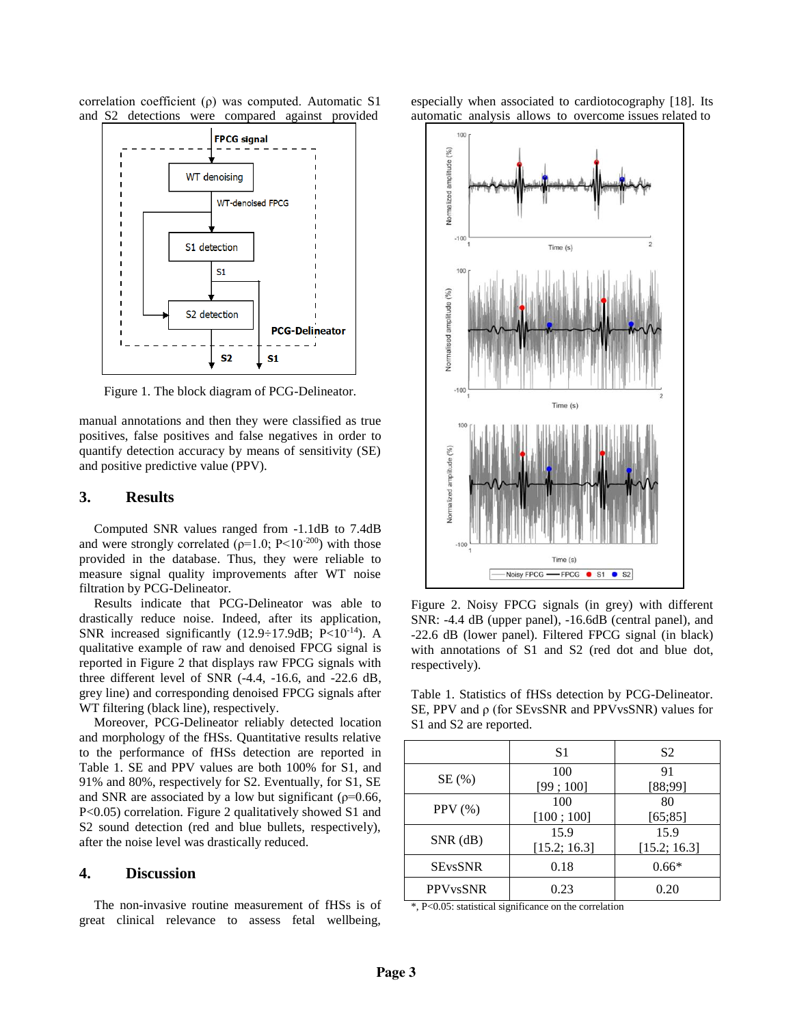correlation coefficient (ρ) was computed. Automatic S1 and S2 detections were compared against provided



Figure 1. The block diagram of PCG-Delineator.

manual annotations and then they were classified as true positives, false positives and false negatives in order to quantify detection accuracy by means of sensitivity (SE) and positive predictive value (PPV).

### **3. Results**

Computed SNR values ranged from -1.1dB to 7.4dB and were strongly correlated ( $\rho=1.0$ ; P<10<sup>-200</sup>) with those provided in the database. Thus, they were reliable to measure signal quality improvements after WT noise filtration by PCG-Delineator.

Results indicate that PCG-Delineator was able to drastically reduce noise. Indeed, after its application, SNR increased significantly  $(12.9 \div 17.9$ dB; P<10<sup>-14</sup>). A qualitative example of raw and denoised FPCG signal is reported in Figure 2 that displays raw FPCG signals with three different level of SNR (-4.4, -16.6, and -22.6 dB, grey line) and corresponding denoised FPCG signals after WT filtering (black line), respectively.

Moreover, PCG-Delineator reliably detected location and morphology of the fHSs. Quantitative results relative to the performance of fHSs detection are reported in Table 1. SE and PPV values are both 100% for S1, and 91% and 80%, respectively for S2. Eventually, for S1, SE and SNR are associated by a low but significant ( $\rho$ =0.66, P<0.05) correlation. Figure 2 qualitatively showed S1 and S2 sound detection (red and blue bullets, respectively), after the noise level was drastically reduced.

### **4. Discussion**

The non-invasive routine measurement of fHSs is of great clinical relevance to assess fetal wellbeing,

especially when associated to cardiotocography [18]. Its automatic analysis allows to overcome issues related to



Figure 2. Noisy FPCG signals (in grey) with different SNR: -4.4 dB (upper panel), -16.6dB (central panel), and -22.6 dB (lower panel). Filtered FPCG signal (in black) with annotations of S1 and S2 (red dot and blue dot, respectively).

Table 1. Statistics of fHSs detection by PCG-Delineator. SE, PPV and ρ (for SEvsSNR and PPVvsSNR) values for S1 and S2 are reported.

|                            | S1                   | S <sub>2</sub>       |
|----------------------------|----------------------|----------------------|
| SE(%)                      | 100<br>[99; 100]     | 91<br>[88;99]        |
| PPV $(\% )$                | 100<br>[100; 100]    | 80<br>[65; 85]       |
| $SNR$ (dB)                 | 15.9<br>[15.2; 16.3] | 15.9<br>[15.2; 16.3] |
| <b>SEvsSNR</b>             | 0.18                 | $0.66*$              |
| <b>PPV<sub>vs</sub>SNR</b> | 0.23                 | 0.20                 |

\*, P<0.05: statistical significance on the correlation